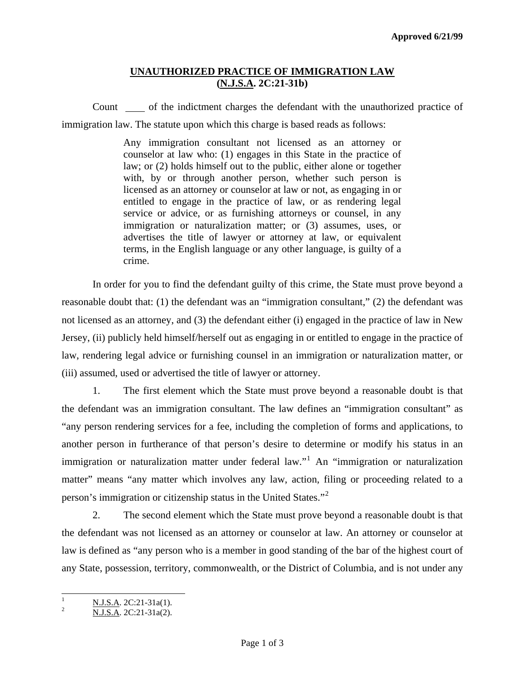### **UNAUTHORIZED PRACTICE OF IMMIGRATION LAW (N.J.S.A. 2C:21-31b)**

Count of the indictment charges the defendant with the unauthorized practice of immigration law. The statute upon which this charge is based reads as follows:

> Any immigration consultant not licensed as an attorney or counselor at law who: (1) engages in this State in the practice of law; or (2) holds himself out to the public, either alone or together with, by or through another person, whether such person is licensed as an attorney or counselor at law or not, as engaging in or entitled to engage in the practice of law, or as rendering legal service or advice, or as furnishing attorneys or counsel, in any immigration or naturalization matter; or (3) assumes, uses, or advertises the title of lawyer or attorney at law, or equivalent terms, in the English language or any other language, is guilty of a crime.

 In order for you to find the defendant guilty of this crime, the State must prove beyond a reasonable doubt that: (1) the defendant was an "immigration consultant," (2) the defendant was not licensed as an attorney, and (3) the defendant either (i) engaged in the practice of law in New Jersey, (ii) publicly held himself/herself out as engaging in or entitled to engage in the practice of law, rendering legal advice or furnishing counsel in an immigration or naturalization matter, or (iii) assumed, used or advertised the title of lawyer or attorney.

 1. The first element which the State must prove beyond a reasonable doubt is that the defendant was an immigration consultant. The law defines an "immigration consultant" as "any person rendering services for a fee, including the completion of forms and applications, to another person in furtherance of that person's desire to determine or modify his status in an immigration or naturalization matter under federal law."<sup>[1](#page-0-0)</sup> An "immigration or naturalization matter" means "any matter which involves any law, action, filing or proceeding related to a person's immigration or citizenship status in the United States."[2](#page-0-1)

 2. The second element which the State must prove beyond a reasonable doubt is that the defendant was not licensed as an attorney or counselor at law. An attorney or counselor at law is defined as "any person who is a member in good standing of the bar of the highest court of any State, possession, territory, commonwealth, or the District of Columbia, and is not under any

<span id="page-0-2"></span><span id="page-0-0"></span> $\frac{1}{1}$  $\frac{N \text{ J.S.A.}}{2}$   $\frac{N \text{ J.S.A.}}{2 \text{ Q.A.}}$   $\frac{2 \text{ C:21-31a(1)}}{2 \text{ Q.A.}}$ 

<span id="page-0-1"></span>N.J.S.A. 2C:21-31a(2).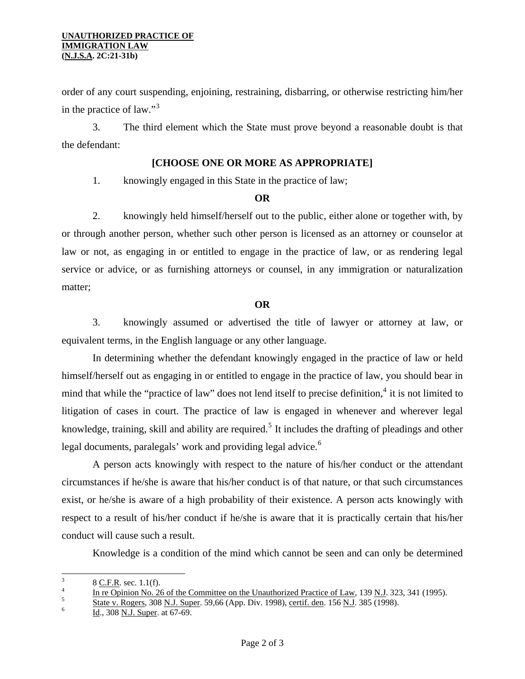#### **UNAUTHORIZED PRACTICE OF IMMIGRATION LAW (N.J.S.A. 2C:21-31b)**

order of any court suspending, enjoining, restraining, disbarring, or otherwise restricting him/her in the practice of law."[3](#page-0-2)

 3. The third element which the State must prove beyond a reasonable doubt is that the defendant:

#### **[CHOOSE ONE OR MORE AS APPROPRIATE]**

1. knowingly engaged in this State in the practice of law;

#### **OR**

2. knowingly held himself/herself out to the public, either alone or together with, by or through another person, whether such other person is licensed as an attorney or counselor at law or not, as engaging in or entitled to engage in the practice of law, or as rendering legal service or advice, or as furnishing attorneys or counsel, in any immigration or naturalization matter;

#### **OR**

3. knowingly assumed or advertised the title of lawyer or attorney at law, or equivalent terms, in the English language or any other language.

 In determining whether the defendant knowingly engaged in the practice of law or held himself/herself out as engaging in or entitled to engage in the practice of law, you should bear in mind that while the "practice of law" does not lend itself to precise definition,<sup>[4](#page-1-0)</sup> it is not limited to litigation of cases in court. The practice of law is engaged in whenever and wherever legal knowledge, training, skill and ability are required.<sup>[5](#page-1-1)</sup> It includes the drafting of pleadings and other legal documents, paralegals' work and providing legal advice.<sup>[6](#page-1-2)</sup>

 A person acts knowingly with respect to the nature of his/her conduct or the attendant circumstances if he/she is aware that his/her conduct is of that nature, or that such circumstances exist, or he/she is aware of a high probability of their existence. A person acts knowingly with respect to a result of his/her conduct if he/she is aware that it is practically certain that his/her conduct will cause such a result.

Knowledge is a condition of the mind which cannot be seen and can only be determined

<span id="page-1-3"></span> 3  $\frac{3}{4}$  8 <u>C.F.R</u>. sec. 1.1(f).

<span id="page-1-0"></span> $\frac{1}{5}$  In re Opinion No. 26 of the Committee on the Unauthorized Practice of Law, 139 N.J. 323, 341 (1995).

<span id="page-1-1"></span> $\frac{5}{11}$  State v. Rogers, 308 N.J. Super. 59,66 (App. Div. 1998), <u>certif. den</u>. 156 <u>N.J</u>. 385 (1998).

<span id="page-1-2"></span>Id., 308 N.J. Super. at 67-69.